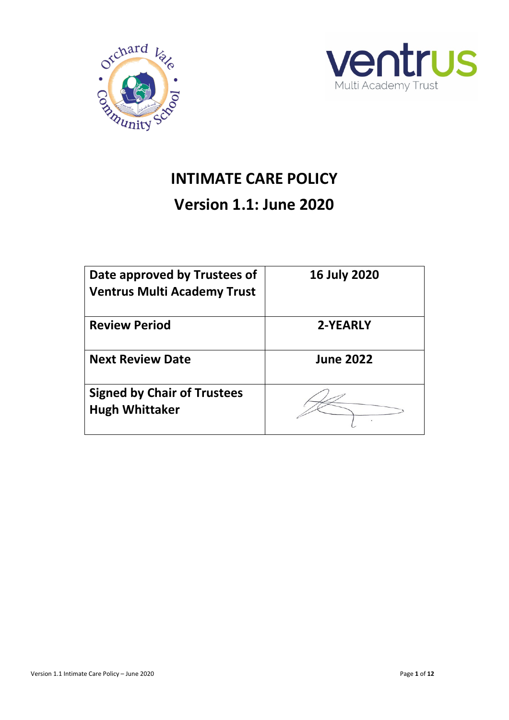



# **INTIMATE CARE POLICY**

# **Version 1.1: June 2020**

| Date approved by Trustees of<br><b>Ventrus Multi Academy Trust</b> | <b>16 July 2020</b> |
|--------------------------------------------------------------------|---------------------|
| <b>Review Period</b>                                               | 2-YEARLY            |
| <b>Next Review Date</b>                                            | <b>June 2022</b>    |
| <b>Signed by Chair of Trustees</b><br><b>Hugh Whittaker</b>        |                     |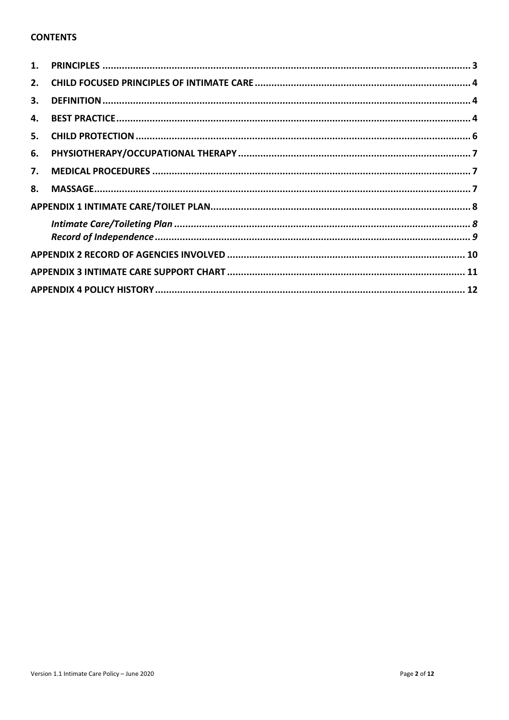#### **CONTENTS**

| 2. |  |
|----|--|
| 3. |  |
| 4. |  |
| 5. |  |
| 6. |  |
| 7. |  |
| 8. |  |
|    |  |
|    |  |
|    |  |
|    |  |
|    |  |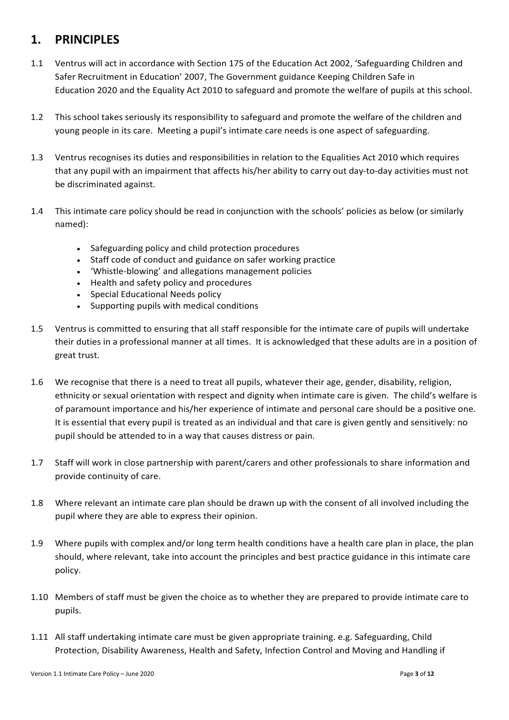## <span id="page-2-0"></span>**1. PRINCIPLES**

- 1.1 Ventrus will act in accordance with Section 175 of the Education Act 2002, 'Safeguarding Children and Safer Recruitment in Education' 2007, The Government guidance Keeping Children Safe in Education 2020 and the Equality Act 2010 to safeguard and promote the welfare of pupils at this school.
- 1.2 This school takes seriously its responsibility to safeguard and promote the welfare of the children and young people in its care. Meeting a pupil's intimate care needs is one aspect of safeguarding.
- 1.3 Ventrus recognises its duties and responsibilities in relation to the Equalities Act 2010 which requires that any pupil with an impairment that affects his/her ability to carry out day-to-day activities must not be discriminated against.
- 1.4 This intimate care policy should be read in conjunction with the schools' policies as below (or similarly named):
	- Safeguarding policy and child protection procedures
	- Staff code of conduct and guidance on safer working practice
	- 'Whistle-blowing' and allegations management policies
	- Health and safety policy and procedures
	- Special Educational Needs policy
	- Supporting pupils with medical conditions
- 1.5 Ventrus is committed to ensuring that all staff responsible for the intimate care of pupils will undertake their duties in a professional manner at all times. It is acknowledged that these adults are in a position of great trust.
- 1.6 We recognise that there is a need to treat all pupils, whatever their age, gender, disability, religion, ethnicity or sexual orientation with respect and dignity when intimate care is given. The child's welfare is of paramount importance and his/her experience of intimate and personal care should be a positive one. It is essential that every pupil is treated as an individual and that care is given gently and sensitively: no pupil should be attended to in a way that causes distress or pain.
- 1.7 Staff will work in close partnership with parent/carers and other professionals to share information and provide continuity of care.
- 1.8 Where relevant an intimate care plan should be drawn up with the consent of all involved including the pupil where they are able to express their opinion.
- 1.9 Where pupils with complex and/or long term health conditions have a health care plan in place, the plan should, where relevant, take into account the principles and best practice guidance in this intimate care policy.
- 1.10 Members of staff must be given the choice as to whether they are prepared to provide intimate care to pupils.
- 1.11 All staff undertaking intimate care must be given appropriate training. e.g. Safeguarding, Child Protection, Disability Awareness, Health and Safety, Infection Control and Moving and Handling if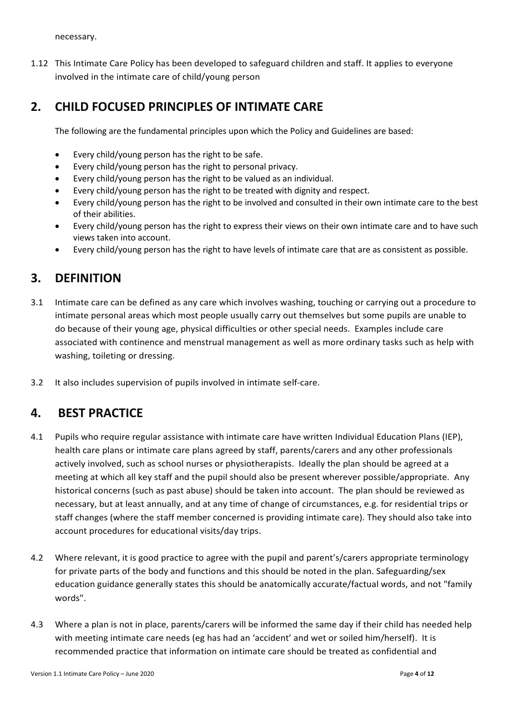necessary.

1.12 This Intimate Care Policy has been developed to safeguard children and staff. It applies to everyone involved in the intimate care of child/young person

## <span id="page-3-0"></span>**2. CHILD FOCUSED PRINCIPLES OF INTIMATE CARE**

The following are the fundamental principles upon which the Policy and Guidelines are based:

- Every child/young person has the right to be safe.
- Every child/young person has the right to personal privacy.
- Every child/young person has the right to be valued as an individual.
- Every child/young person has the right to be treated with dignity and respect.
- Every child/young person has the right to be involved and consulted in their own intimate care to the best of their abilities.
- Every child/young person has the right to express their views on their own intimate care and to have such views taken into account.
- Every child/young person has the right to have levels of intimate care that are as consistent as possible.

#### <span id="page-3-1"></span>**3. DEFINITION**

- 3.1 Intimate care can be defined as any care which involves washing, touching or carrying out a procedure to intimate personal areas which most people usually carry out themselves but some pupils are unable to do because of their young age, physical difficulties or other special needs. Examples include care associated with continence and menstrual management as well as more ordinary tasks such as help with washing, toileting or dressing.
- 3.2 It also includes supervision of pupils involved in intimate self-care.

#### <span id="page-3-2"></span>**4. BEST PRACTICE**

- 4.1 Pupils who require regular assistance with intimate care have written Individual Education Plans (IEP), health care plans or intimate care plans agreed by staff, parents/carers and any other professionals actively involved, such as school nurses or physiotherapists. Ideally the plan should be agreed at a meeting at which all key staff and the pupil should also be present wherever possible/appropriate. Any historical concerns (such as past abuse) should be taken into account. The plan should be reviewed as necessary, but at least annually, and at any time of change of circumstances, e.g. for residential trips or staff changes (where the staff member concerned is providing intimate care). They should also take into account procedures for educational visits/day trips.
- 4.2 Where relevant, it is good practice to agree with the pupil and parent's/carers appropriate terminology for private parts of the body and functions and this should be noted in the plan. Safeguarding/sex education guidance generally states this should be anatomically accurate/factual words, and not "family words".
- 4.3 Where a plan is not in place, parents/carers will be informed the same day if their child has needed help with meeting intimate care needs (eg has had an 'accident' and wet or soiled him/herself). It is recommended practice that information on intimate care should be treated as confidential and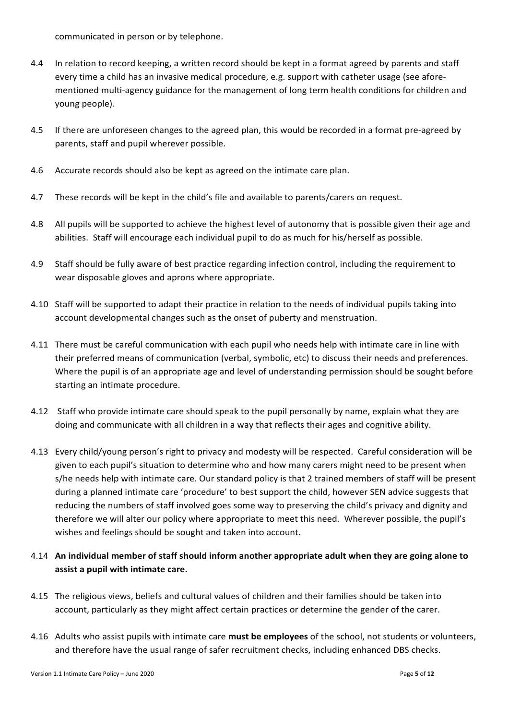communicated in person or by telephone.

- 4.4 In relation to record keeping, a written record should be kept in a format agreed by parents and staff every time a child has an invasive medical procedure, e.g. support with catheter usage (see aforementioned multi-agency guidance for the management of long term health conditions for children and young people).
- 4.5 If there are unforeseen changes to the agreed plan, this would be recorded in a format pre-agreed by parents, staff and pupil wherever possible.
- 4.6 Accurate records should also be kept as agreed on the intimate care plan.
- 4.7 These records will be kept in the child's file and available to parents/carers on request.
- 4.8 All pupils will be supported to achieve the highest level of autonomy that is possible given their age and abilities. Staff will encourage each individual pupil to do as much for his/herself as possible.
- 4.9 Staff should be fully aware of best practice regarding infection control, including the requirement to wear disposable gloves and aprons where appropriate.
- 4.10 Staff will be supported to adapt their practice in relation to the needs of individual pupils taking into account developmental changes such as the onset of puberty and menstruation.
- 4.11 There must be careful communication with each pupil who needs help with intimate care in line with their preferred means of communication (verbal, symbolic, etc) to discuss their needs and preferences. Where the pupil is of an appropriate age and level of understanding permission should be sought before starting an intimate procedure.
- 4.12 Staff who provide intimate care should speak to the pupil personally by name, explain what they are doing and communicate with all children in a way that reflects their ages and cognitive ability.
- 4.13 Every child/young person's right to privacy and modesty will be respected. Careful consideration will be given to each pupil's situation to determine who and how many carers might need to be present when s/he needs help with intimate care. Our standard policy is that 2 trained members of staff will be present during a planned intimate care 'procedure' to best support the child, however SEN advice suggests that reducing the numbers of staff involved goes some way to preserving the child's privacy and dignity and therefore we will alter our policy where appropriate to meet this need. Wherever possible, the pupil's wishes and feelings should be sought and taken into account.
- 4.14 **An individual member of staff should inform another appropriate adult when they are going alone to assist a pupil with intimate care.**
- 4.15 The religious views, beliefs and cultural values of children and their families should be taken into account, particularly as they might affect certain practices or determine the gender of the carer.
- 4.16 Adults who assist pupils with intimate care **must be employees** of the school, not students or volunteers, and therefore have the usual range of safer recruitment checks, including enhanced DBS checks.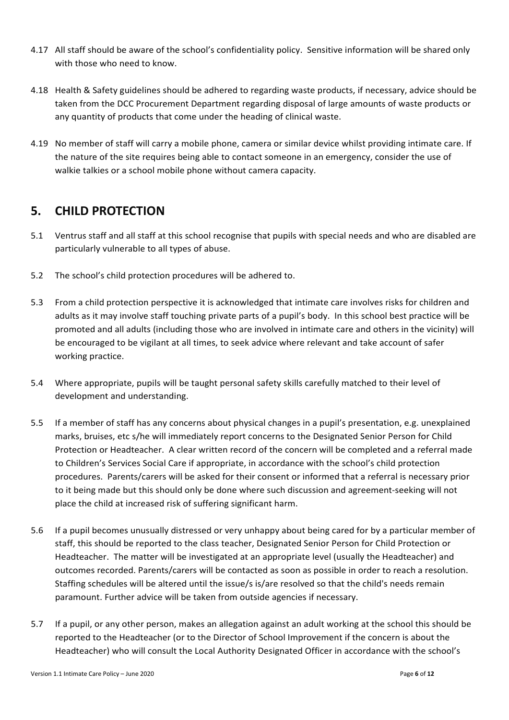- 4.17 All staff should be aware of the school's confidentiality policy. Sensitive information will be shared only with those who need to know.
- 4.18 Health & Safety guidelines should be adhered to regarding waste products, if necessary, advice should be taken from the DCC Procurement Department regarding disposal of large amounts of waste products or any quantity of products that come under the heading of clinical waste.
- 4.19 No member of staff will carry a mobile phone, camera or similar device whilst providing intimate care. If the nature of the site requires being able to contact someone in an emergency, consider the use of walkie talkies or a school mobile phone without camera capacity.

## <span id="page-5-0"></span>**5. CHILD PROTECTION**

- 5.1 Ventrus staff and all staff at this school recognise that pupils with special needs and who are disabled are particularly vulnerable to all types of abuse.
- 5.2 The school's child protection procedures will be adhered to.
- 5.3 From a child protection perspective it is acknowledged that intimate care involves risks for children and adults as it may involve staff touching private parts of a pupil's body. In this school best practice will be promoted and all adults (including those who are involved in intimate care and others in the vicinity) will be encouraged to be vigilant at all times, to seek advice where relevant and take account of safer working practice.
- 5.4 Where appropriate, pupils will be taught personal safety skills carefully matched to their level of development and understanding.
- 5.5 If a member of staff has any concerns about physical changes in a pupil's presentation, e.g. unexplained marks, bruises, etc s/he will immediately report concerns to the Designated Senior Person for Child Protection or Headteacher. A clear written record of the concern will be completed and a referral made to Children's Services Social Care if appropriate, in accordance with the school's child protection procedures. Parents/carers will be asked for their consent or informed that a referral is necessary prior to it being made but this should only be done where such discussion and agreement-seeking will not place the child at increased risk of suffering significant harm.
- 5.6 If a pupil becomes unusually distressed or very unhappy about being cared for by a particular member of staff, this should be reported to the class teacher, Designated Senior Person for Child Protection or Headteacher. The matter will be investigated at an appropriate level (usually the Headteacher) and outcomes recorded. Parents/carers will be contacted as soon as possible in order to reach a resolution. Staffing schedules will be altered until the issue/s is/are resolved so that the child's needs remain paramount. Further advice will be taken from outside agencies if necessary.
- 5.7 If a pupil, or any other person, makes an allegation against an adult working at the school this should be reported to the Headteacher (or to the Director of School Improvement if the concern is about the Headteacher) who will consult the Local Authority Designated Officer in accordance with the school's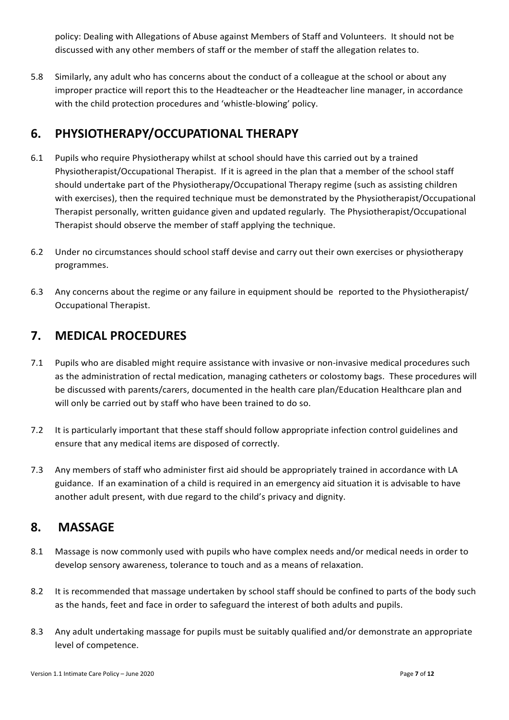policy: Dealing with Allegations of Abuse against Members of Staff and Volunteers. It should not be discussed with any other members of staff or the member of staff the allegation relates to.

5.8 Similarly, any adult who has concerns about the conduct of a colleague at the school or about any improper practice will report this to the Headteacher or the Headteacher line manager, in accordance with the child protection procedures and 'whistle-blowing' policy.

## <span id="page-6-0"></span>**6. PHYSIOTHERAPY/OCCUPATIONAL THERAPY**

- 6.1 Pupils who require Physiotherapy whilst at school should have this carried out by a trained Physiotherapist/Occupational Therapist. If it is agreed in the plan that a member of the school staff should undertake part of the Physiotherapy/Occupational Therapy regime (such as assisting children with exercises), then the required technique must be demonstrated by the Physiotherapist/Occupational Therapist personally, written guidance given and updated regularly. The Physiotherapist/Occupational Therapist should observe the member of staff applying the technique.
- 6.2 Under no circumstances should school staff devise and carry out their own exercises or physiotherapy programmes.
- 6.3 Any concerns about the regime or any failure in equipment should be reported to the Physiotherapist/ Occupational Therapist.

## <span id="page-6-1"></span>**7. MEDICAL PROCEDURES**

- 7.1 Pupils who are disabled might require assistance with invasive or non-invasive medical procedures such as the administration of rectal medication, managing catheters or colostomy bags. These procedures will be discussed with parents/carers, documented in the health care plan/Education Healthcare plan and will only be carried out by staff who have been trained to do so.
- 7.2 It is particularly important that these staff should follow appropriate infection control guidelines and ensure that any medical items are disposed of correctly.
- 7.3 Any members of staff who administer first aid should be appropriately trained in accordance with LA guidance. If an examination of a child is required in an emergency aid situation it is advisable to have another adult present, with due regard to the child's privacy and dignity.

## <span id="page-6-2"></span>**8. MASSAGE**

- 8.1 Massage is now commonly used with pupils who have complex needs and/or medical needs in order to develop sensory awareness, tolerance to touch and as a means of relaxation.
- 8.2 It is recommended that massage undertaken by school staff should be confined to parts of the body such as the hands, feet and face in order to safeguard the interest of both adults and pupils.
- 8.3 Any adult undertaking massage for pupils must be suitably qualified and/or demonstrate an appropriate level of competence.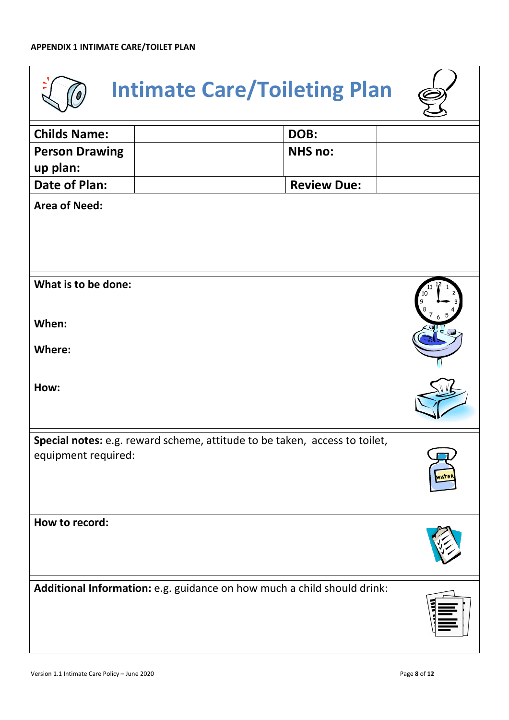<span id="page-7-1"></span><span id="page-7-0"></span>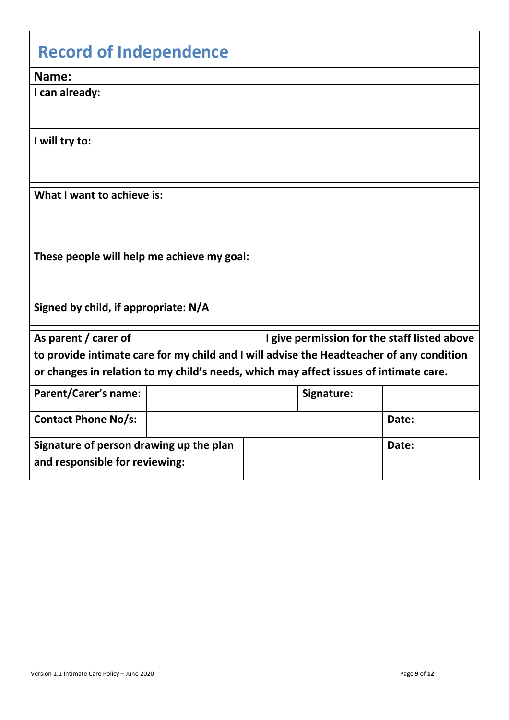<span id="page-8-0"></span>

| <b>Record of Independence</b>                                                                                                                                                                                                                             |  |            |  |       |  |  |  |  |  |  |
|-----------------------------------------------------------------------------------------------------------------------------------------------------------------------------------------------------------------------------------------------------------|--|------------|--|-------|--|--|--|--|--|--|
| Name:                                                                                                                                                                                                                                                     |  |            |  |       |  |  |  |  |  |  |
| I can already:                                                                                                                                                                                                                                            |  |            |  |       |  |  |  |  |  |  |
| I will try to:                                                                                                                                                                                                                                            |  |            |  |       |  |  |  |  |  |  |
| What I want to achieve is:                                                                                                                                                                                                                                |  |            |  |       |  |  |  |  |  |  |
| These people will help me achieve my goal:                                                                                                                                                                                                                |  |            |  |       |  |  |  |  |  |  |
| Signed by child, if appropriate: N/A                                                                                                                                                                                                                      |  |            |  |       |  |  |  |  |  |  |
| As parent / carer of<br>I give permission for the staff listed above<br>to provide intimate care for my child and I will advise the Headteacher of any condition<br>or changes in relation to my child's needs, which may affect issues of intimate care. |  |            |  |       |  |  |  |  |  |  |
| <b>Parent/Carer's name:</b>                                                                                                                                                                                                                               |  | Signature: |  |       |  |  |  |  |  |  |
| <b>Contact Phone No/s:</b>                                                                                                                                                                                                                                |  |            |  | Date: |  |  |  |  |  |  |
| Signature of person drawing up the plan<br>and responsible for reviewing:                                                                                                                                                                                 |  |            |  | Date: |  |  |  |  |  |  |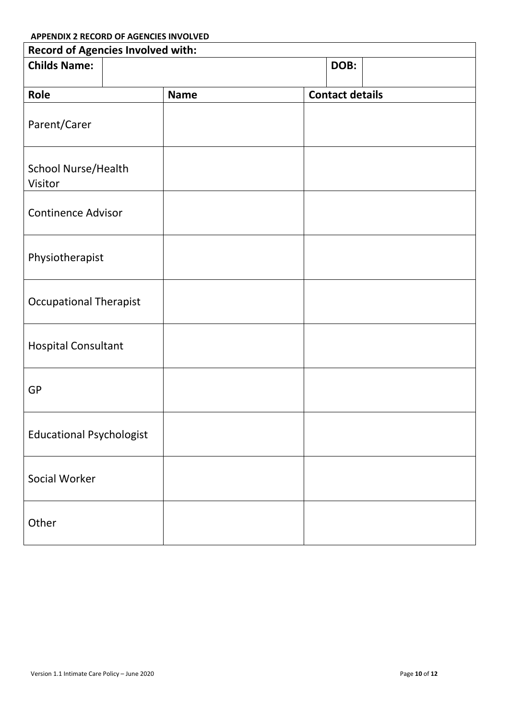<span id="page-9-0"></span>

| <b>Record of Agencies Involved with:</b> |             |                        |  |  |  |  |  |  |  |  |
|------------------------------------------|-------------|------------------------|--|--|--|--|--|--|--|--|
| <b>Childs Name:</b>                      |             | DOB:                   |  |  |  |  |  |  |  |  |
| Role                                     | <b>Name</b> | <b>Contact details</b> |  |  |  |  |  |  |  |  |
| Parent/Carer                             |             |                        |  |  |  |  |  |  |  |  |
| School Nurse/Health<br>Visitor           |             |                        |  |  |  |  |  |  |  |  |
| <b>Continence Advisor</b>                |             |                        |  |  |  |  |  |  |  |  |
| Physiotherapist                          |             |                        |  |  |  |  |  |  |  |  |
| <b>Occupational Therapist</b>            |             |                        |  |  |  |  |  |  |  |  |
| <b>Hospital Consultant</b>               |             |                        |  |  |  |  |  |  |  |  |
| GP                                       |             |                        |  |  |  |  |  |  |  |  |
| <b>Educational Psychologist</b>          |             |                        |  |  |  |  |  |  |  |  |
| Social Worker                            |             |                        |  |  |  |  |  |  |  |  |
| Other                                    |             |                        |  |  |  |  |  |  |  |  |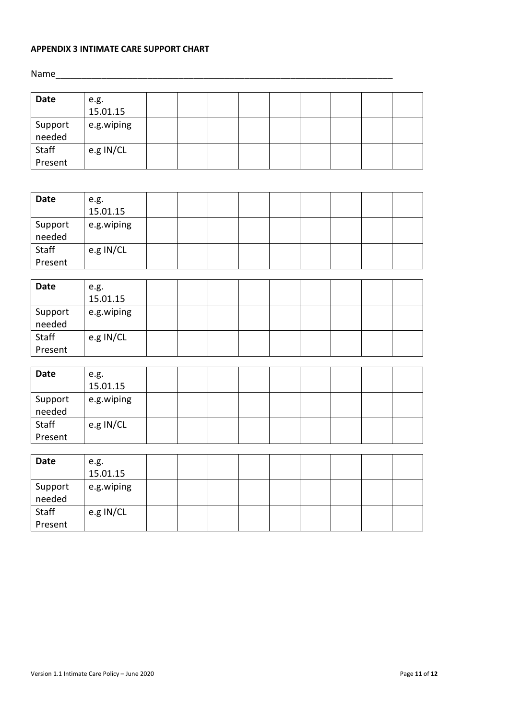#### <span id="page-10-0"></span>**APPENDIX 3 INTIMATE CARE SUPPORT CHART**

Name\_\_\_\_\_\_\_\_\_\_\_\_\_\_\_\_\_\_\_\_\_\_\_\_\_\_\_\_\_\_\_\_\_\_\_\_\_\_\_\_\_\_\_\_\_\_\_\_\_\_\_\_\_\_\_\_\_\_\_\_\_\_\_\_\_\_

| Date              | e.g.<br>15.01.15 |  |  |  |  |  |
|-------------------|------------------|--|--|--|--|--|
|                   |                  |  |  |  |  |  |
| Support<br>needed | e.g.wiping       |  |  |  |  |  |
| Staff             | e.g IN/CL        |  |  |  |  |  |
| Present           |                  |  |  |  |  |  |

| <b>Date</b>       | e.g.<br>15.01.15 |  |  |  |  |  |
|-------------------|------------------|--|--|--|--|--|
| Support<br>needed | e.g.wiping       |  |  |  |  |  |
| Staff<br>Present  | e.g IN/CL        |  |  |  |  |  |

| <b>Date</b>       | e.g.<br>15.01.15 |  |  |  |  |  |
|-------------------|------------------|--|--|--|--|--|
| Support<br>needed | e.g.wiping       |  |  |  |  |  |
| Staff<br>Present  | e.g IN/CL        |  |  |  |  |  |

| e.g.<br>15.01.15 |  |  |  |  |  |
|------------------|--|--|--|--|--|
| e.g.wiping       |  |  |  |  |  |
| e.g IN/CL        |  |  |  |  |  |
|                  |  |  |  |  |  |

| Date              | e.g.<br>15.01.15 |  |  |  |  |  |
|-------------------|------------------|--|--|--|--|--|
| Support<br>needed | e.g.wiping       |  |  |  |  |  |
| Staff<br>Present  | e.g IN/CL        |  |  |  |  |  |